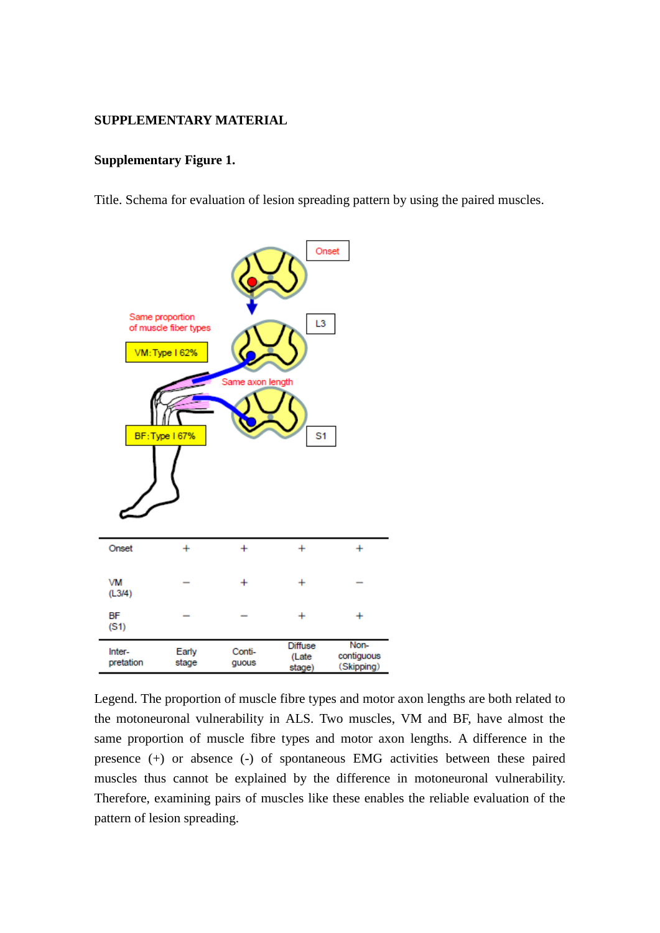#### **SUPPLEMENTARY MATERIAL**

#### **Supplementary Figure 1.**

Title. Schema for evaluation of lesion spreading pattern by using the paired muscles.



Legend. The proportion of muscle fibre types and motor axon lengths are both related to the motoneuronal vulnerability in ALS. Two muscles, VM and BF, have almost the same proportion of muscle fibre types and motor axon lengths. A difference in the presence (+) or absence (-) of spontaneous EMG activities between these paired muscles thus cannot be explained by the difference in motoneuronal vulnerability. Therefore, examining pairs of muscles like these enables the reliable evaluation of the pattern of lesion spreading.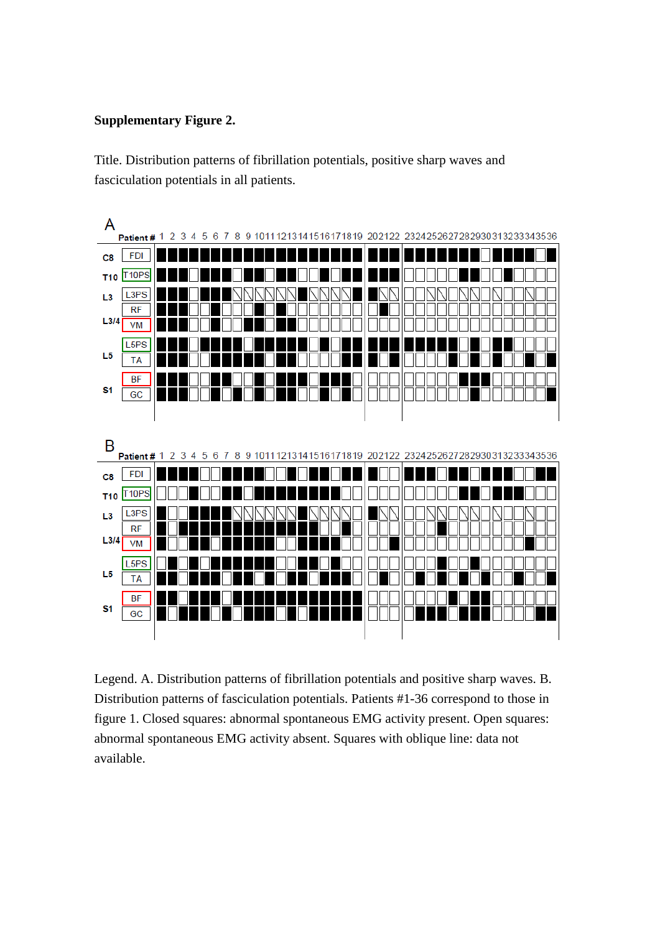### **Supplementary Figure 2.**

Title. Distribution patterns of fibrillation potentials, positive sharp waves and fasciculation potentials in all patients.



Legend. A. Distribution patterns of fibrillation potentials and positive sharp waves. B. Distribution patterns of fasciculation potentials. Patients #1-36 correspond to those in figure 1. Closed squares: abnormal spontaneous EMG activity present. Open squares: abnormal spontaneous EMG activity absent. Squares with oblique line: data not available.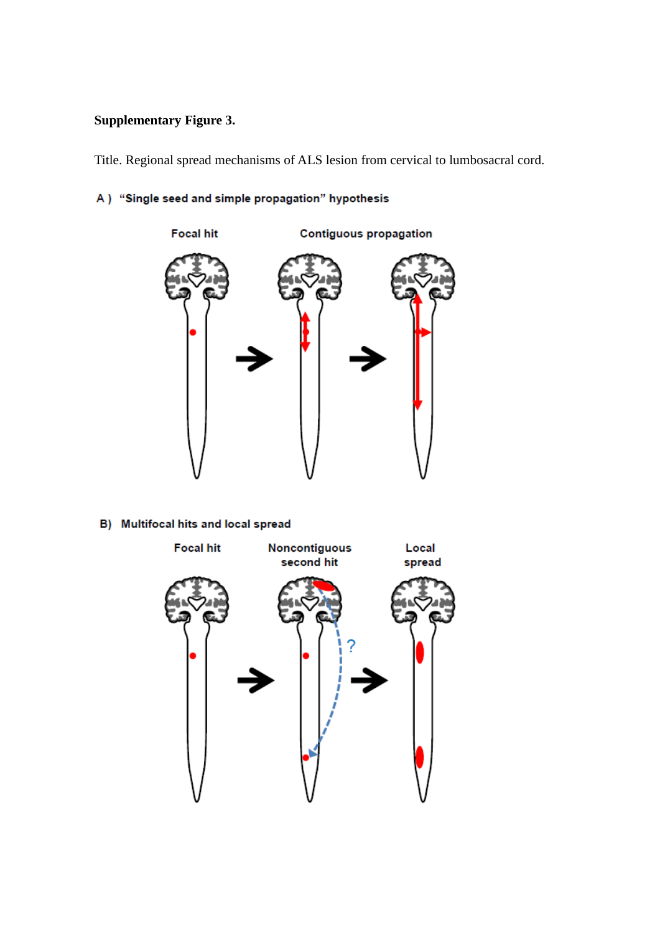# **Supplementary Figure 3.**

Title. Regional spread mechanisms of ALS lesion from cervical to lumbosacral cord.

## A) "Single seed and simple propagation" hypothesis



### B) Multifocal hits and local spread